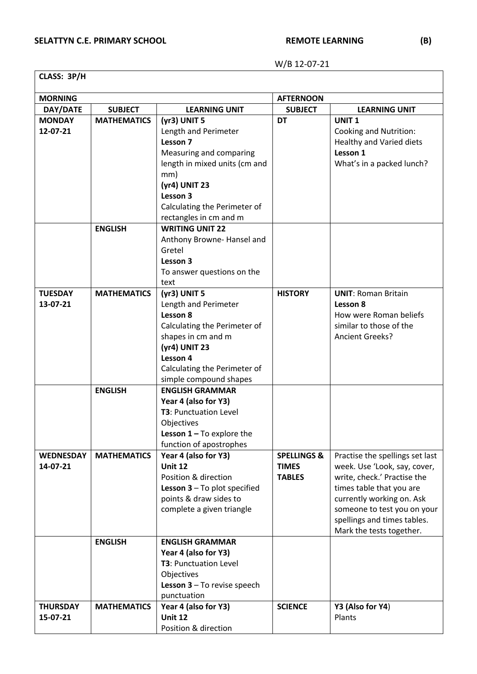W/B 12-07-21

| CLASS: 3P/H                  |                    |                                                                                                                                                                                                 |                                                         |                                                                                                                                                                                                                                                   |  |
|------------------------------|--------------------|-------------------------------------------------------------------------------------------------------------------------------------------------------------------------------------------------|---------------------------------------------------------|---------------------------------------------------------------------------------------------------------------------------------------------------------------------------------------------------------------------------------------------------|--|
| <b>MORNING</b>               |                    |                                                                                                                                                                                                 | <b>AFTERNOON</b>                                        |                                                                                                                                                                                                                                                   |  |
| DAY/DATE                     | <b>SUBJECT</b>     | <b>LEARNING UNIT</b>                                                                                                                                                                            | <b>SUBJECT</b>                                          | <b>LEARNING UNIT</b>                                                                                                                                                                                                                              |  |
| <b>MONDAY</b><br>12-07-21    | <b>MATHEMATICS</b> | (yr3) UNIT 5<br>Length and Perimeter<br>Lesson 7<br>Measuring and comparing<br>length in mixed units (cm and                                                                                    | <b>DT</b>                                               | <b>UNIT1</b><br><b>Cooking and Nutrition:</b><br><b>Healthy and Varied diets</b><br>Lesson 1<br>What's in a packed lunch?                                                                                                                         |  |
|                              |                    | mm)<br>(yr4) UNIT 23<br>Lesson 3<br>Calculating the Perimeter of<br>rectangles in cm and m                                                                                                      |                                                         |                                                                                                                                                                                                                                                   |  |
|                              | <b>ENGLISH</b>     | <b>WRITING UNIT 22</b><br>Anthony Browne-Hansel and<br>Gretel<br>Lesson 3<br>To answer questions on the<br>text                                                                                 |                                                         |                                                                                                                                                                                                                                                   |  |
| <b>TUESDAY</b><br>13-07-21   | <b>MATHEMATICS</b> | $(yr3)$ UNIT 5<br>Length and Perimeter<br>Lesson 8<br>Calculating the Perimeter of<br>shapes in cm and m<br>(yr4) UNIT 23<br>Lesson 4<br>Calculating the Perimeter of<br>simple compound shapes | <b>HISTORY</b>                                          | <b>UNIT: Roman Britain</b><br>Lesson 8<br>How were Roman beliefs<br>similar to those of the<br><b>Ancient Greeks?</b>                                                                                                                             |  |
|                              | <b>ENGLISH</b>     | <b>ENGLISH GRAMMAR</b><br>Year 4 (also for Y3)<br><b>T3</b> : Punctuation Level<br>Objectives<br><b>Lesson 1-To explore the</b><br>function of apostrophes                                      |                                                         |                                                                                                                                                                                                                                                   |  |
| <b>WEDNESDAY</b><br>14-07-21 | <b>MATHEMATICS</b> | Year 4 (also for Y3)<br><b>Unit 12</b><br>Position & direction<br><b>Lesson 3</b> $-$ To plot specified<br>points & draw sides to<br>complete a given triangle                                  | <b>SPELLINGS &amp;</b><br><b>TIMES</b><br><b>TABLES</b> | Practise the spellings set last<br>week. Use 'Look, say, cover,<br>write, check.' Practise the<br>times table that you are<br>currently working on. Ask<br>someone to test you on your<br>spellings and times tables.<br>Mark the tests together. |  |
|                              | <b>ENGLISH</b>     | <b>ENGLISH GRAMMAR</b><br>Year 4 (also for Y3)<br><b>T3</b> : Punctuation Level<br>Objectives<br><b>Lesson 3</b> $-$ To revise speech<br>punctuation                                            |                                                         |                                                                                                                                                                                                                                                   |  |
| <b>THURSDAY</b><br>15-07-21  | <b>MATHEMATICS</b> | Year 4 (also for Y3)<br><b>Unit 12</b><br>Position & direction                                                                                                                                  | <b>SCIENCE</b>                                          | Y3 (Also for Y4)<br>Plants                                                                                                                                                                                                                        |  |